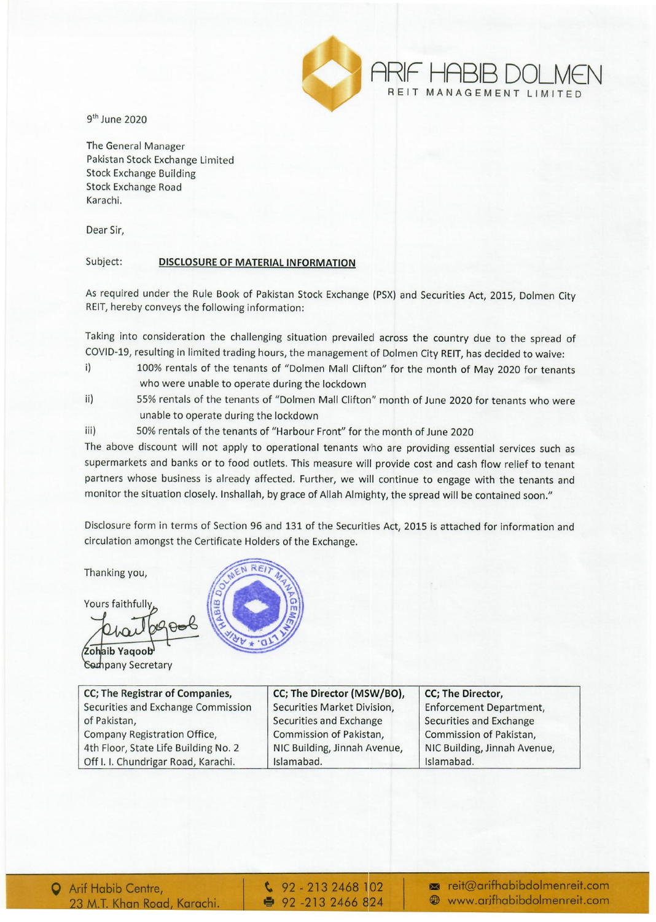

9th June 2020

The General Manager Pakistan Stock Exchange Limited Stock Exchange Building Stock Exchange Road Karachi.

Dear Sir,

## Subject: DISCLOSURE OF MATERIAL INFORMATION

As required under the Rule Book of Pakistan Stock Exchange (PSX) and Securities Act, 2015, Dolmen City REIT, hereby conveys the following information:

Taking into consideration the challenging situation prevailed across the country due to the spread of COVID-19, resulting in limited trading hours, the management of Dolmen City REIT, has decided to waive:

- i) 100% rentals of the tenants of "Dolmen Mall Clifton" for the month of May 2020 for tenants who were unable to operate during the lockdown
- ii) 55% rentals of the tenants of "Dolmen Mall Clifton" month of June 2020 for tenants who were unable to operate during the lockdown
- iii) 50% rentals of the tenants of "Harbour Front" for the month of June 2020

The above discount will not apply to operational tenants who are providing essential services such as supermarkets and banks or to food outlets. This measure will provide cost and cash flow relief to tenant partners whose business is already affected. Further, we will continue to engage with the tenants and monitor the situation closely. Inshallah, by grace of Allah Almighty, the spread will be contained soon."

Disclosure form in terms of Section 96 and 131 of the Securities Act, 2015 is attached for information and circulation amongst the Certificate Holders of the Exchange.

Thanking you,

Yours faithfully

Zohaib Yaqoob **Company Secretary** 

| CC; The Registrar of Companies,      |
|--------------------------------------|
| Securities and Exchange Commission   |
| of Pakistan,                         |
| Company Registration Office,         |
| 4th Floor, State Life Building No. 2 |
| Off I. I. Chundrigar Road, Karachi.  |



| CC; The Registrar of Companies,      | CC; The Director (MSW/BO),   | CC; The Director,              |
|--------------------------------------|------------------------------|--------------------------------|
| Securities and Exchange Commission   | Securities Market Division,  | <b>Enforcement Department,</b> |
| of Pakistan,                         | Securities and Exchange      | Securities and Exchange        |
| Company Registration Office,         | Commission of Pakistan,      | Commission of Pakistan,        |
| 4th Floor, State Life Building No. 2 | NIC Building, Jinnah Avenue, | NIC Building, Jinnah Avenue,   |
| Off I. I. Chundrigar Road, Karachi.  | Islamabad.                   | Islamabad.                     |

 $\frac{6}{2}$  92 - 213 2468 102 •• 92 -213 2466 824